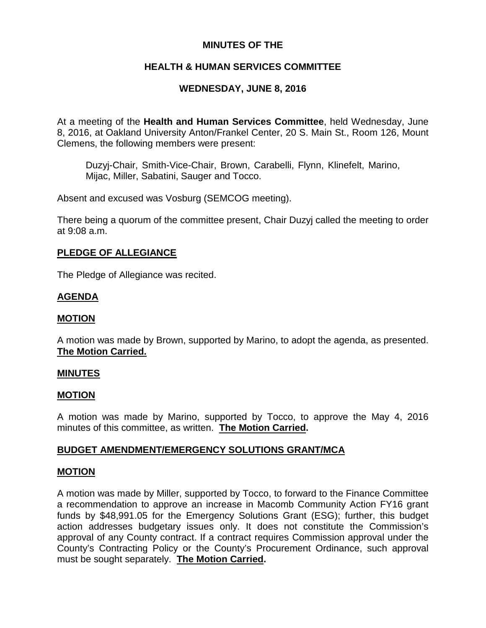## **MINUTES OF THE**

# **HEALTH & HUMAN SERVICES COMMITTEE**

## **WEDNESDAY, JUNE 8, 2016**

At a meeting of the **Health and Human Services Committee**, held Wednesday, June 8, 2016, at Oakland University Anton/Frankel Center, 20 S. Main St., Room 126, Mount Clemens, the following members were present:

Duzyj-Chair, Smith-Vice-Chair, Brown, Carabelli, Flynn, Klinefelt, Marino, Mijac, Miller, Sabatini, Sauger and Tocco.

Absent and excused was Vosburg (SEMCOG meeting).

There being a quorum of the committee present, Chair Duzyj called the meeting to order at 9:08 a.m.

### **PLEDGE OF ALLEGIANCE**

The Pledge of Allegiance was recited.

### **AGENDA**

#### **MOTION**

A motion was made by Brown, supported by Marino, to adopt the agenda, as presented. **The Motion Carried.**

#### **MINUTES**

#### **MOTION**

A motion was made by Marino, supported by Tocco, to approve the May 4, 2016 minutes of this committee, as written. **The Motion Carried.**

#### **BUDGET AMENDMENT/EMERGENCY SOLUTIONS GRANT/MCA**

#### **MOTION**

A motion was made by Miller, supported by Tocco, to forward to the Finance Committee a recommendation to approve an increase in Macomb Community Action FY16 grant funds by \$48,991.05 for the Emergency Solutions Grant (ESG); further, this budget action addresses budgetary issues only. It does not constitute the Commission's approval of any County contract. If a contract requires Commission approval under the County's Contracting Policy or the County's Procurement Ordinance, such approval must be sought separately. **The Motion Carried.**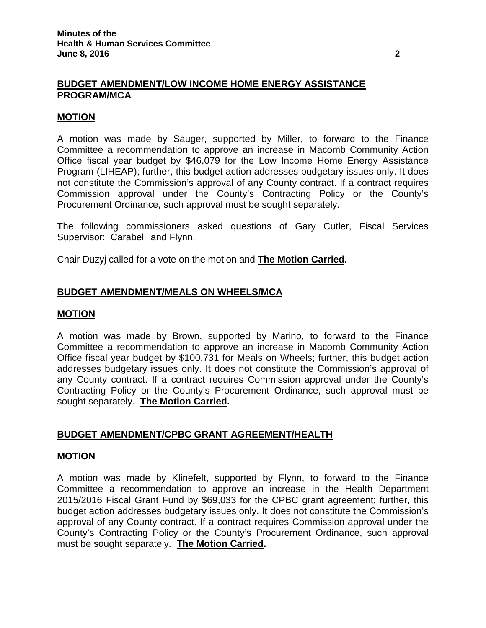#### **BUDGET AMENDMENT/LOW INCOME HOME ENERGY ASSISTANCE PROGRAM/MCA**

#### **MOTION**

A motion was made by Sauger, supported by Miller, to forward to the Finance Committee a recommendation to approve an increase in Macomb Community Action Office fiscal year budget by \$46,079 for the Low Income Home Energy Assistance Program (LIHEAP); further, this budget action addresses budgetary issues only. It does not constitute the Commission's approval of any County contract. If a contract requires Commission approval under the County's Contracting Policy or the County's Procurement Ordinance, such approval must be sought separately.

The following commissioners asked questions of Gary Cutler, Fiscal Services Supervisor: Carabelli and Flynn.

Chair Duzyj called for a vote on the motion and **The Motion Carried.**

### **BUDGET AMENDMENT/MEALS ON WHEELS/MCA**

#### **MOTION**

A motion was made by Brown, supported by Marino, to forward to the Finance Committee a recommendation to approve an increase in Macomb Community Action Office fiscal year budget by \$100,731 for Meals on Wheels; further, this budget action addresses budgetary issues only. It does not constitute the Commission's approval of any County contract. If a contract requires Commission approval under the County's Contracting Policy or the County's Procurement Ordinance, such approval must be sought separately. **The Motion Carried.**

## **BUDGET AMENDMENT/CPBC GRANT AGREEMENT/HEALTH**

#### **MOTION**

A motion was made by Klinefelt, supported by Flynn, to forward to the Finance Committee a recommendation to approve an increase in the Health Department 2015/2016 Fiscal Grant Fund by \$69,033 for the CPBC grant agreement; further, this budget action addresses budgetary issues only. It does not constitute the Commission's approval of any County contract. If a contract requires Commission approval under the County's Contracting Policy or the County's Procurement Ordinance, such approval must be sought separately. **The Motion Carried.**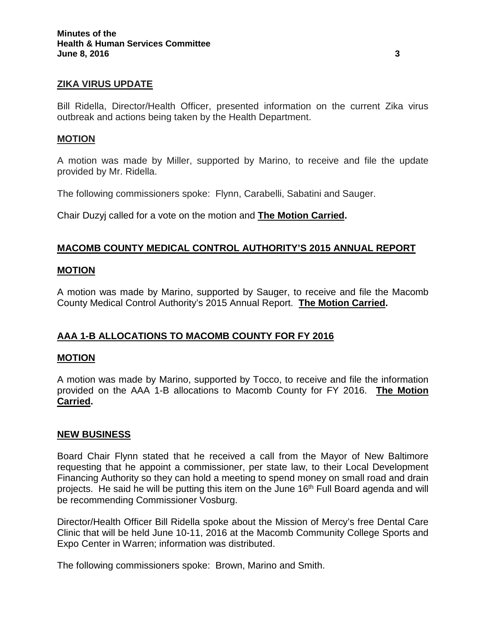#### **ZIKA VIRUS UPDATE**

Bill Ridella, Director/Health Officer, presented information on the current Zika virus outbreak and actions being taken by the Health Department.

#### **MOTION**

A motion was made by Miller, supported by Marino, to receive and file the update provided by Mr. Ridella.

The following commissioners spoke: Flynn, Carabelli, Sabatini and Sauger.

Chair Duzyj called for a vote on the motion and **The Motion Carried.**

### **MACOMB COUNTY MEDICAL CONTROL AUTHORITY'S 2015 ANNUAL REPORT**

#### **MOTION**

A motion was made by Marino, supported by Sauger, to receive and file the Macomb County Medical Control Authority's 2015 Annual Report. **The Motion Carried.**

## **AAA 1-B ALLOCATIONS TO MACOMB COUNTY FOR FY 2016**

### **MOTION**

A motion was made by Marino, supported by Tocco, to receive and file the information provided on the AAA 1-B allocations to Macomb County for FY 2016. **The Motion Carried.**

#### **NEW BUSINESS**

Board Chair Flynn stated that he received a call from the Mayor of New Baltimore requesting that he appoint a commissioner, per state law, to their Local Development Financing Authority so they can hold a meeting to spend money on small road and drain projects. He said he will be putting this item on the June 16<sup>th</sup> Full Board agenda and will be recommending Commissioner Vosburg.

Director/Health Officer Bill Ridella spoke about the Mission of Mercy's free Dental Care Clinic that will be held June 10-11, 2016 at the Macomb Community College Sports and Expo Center in Warren; information was distributed.

The following commissioners spoke: Brown, Marino and Smith.